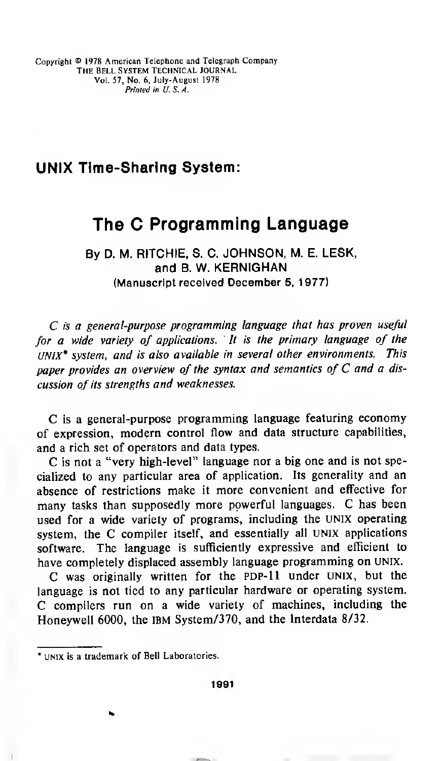## UNIX Time-Sharing System:

# The C Programming Language

By D. M. RITCHIE, S. C. JOHNSON, M. E. LESK, and B. W. KERNIGHAN (Manuscript received December 5, 1977)

C is <sup>a</sup> general-purpose programming language that has proven useful for a wide variety of applications. It is the primary language of the UNIX\* system, and is also available in several other environments. This paper provides an overview of the syntax and semantics of C and a discussion of its strengths and weaknesses.

C is <sup>a</sup> general-purpose programming language featuring economy of expression, modern control flow and data structure capabilities, and a rich set of operators and data types.

C is not <sup>a</sup> "very high-level" language nor <sup>a</sup> big one and is not specialized to any particular area of application. Its generality and an absence of restrictions make it more convenient and effective for many tasks than supposedly more powerful languages. C has been used for <sup>a</sup> wide variety of programs, including the UNIX operating system, the C compiler itself, and essentially all UNIX applications software. The language is sufficiently expressive and efficient to have completely displaced assembly language programming on UNIX.

C was originally written for the PDP-11 under UNIX, but the language is not tied to any particular hardware or operating system. C compilers run on <sup>a</sup> wide variety of machines, including the Honeywell 6000, the IBM System/370, and the Interdata 8/32.

<sup>\*</sup> unix is a trademark of Bell Laboratories.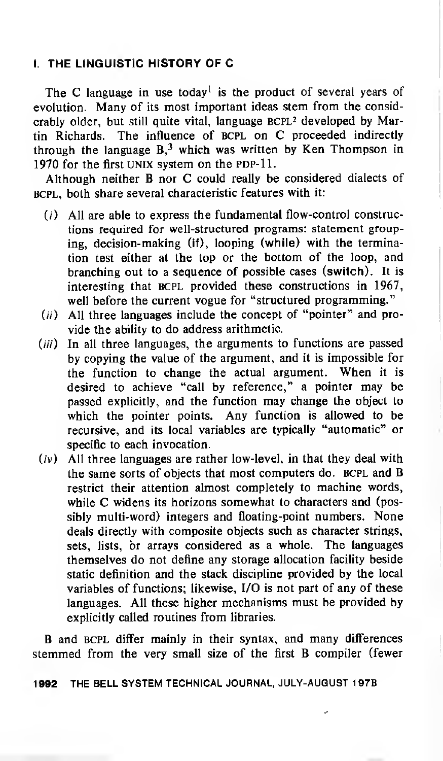### I. THE LINGUISTIC HISTORY OF C

The C language in use today<sup>1</sup> is the product of several years of evolution. Many of its most important ideas stem from the considerably older, but still quite vital, language BCPL<sup>2</sup> developed by Martin Richards. The influence of BCPL on C proceeded indirectly through the language  $B<sub>3</sub>$  which was written by Ken Thompson in 1970 for the first UNIX system on the PDP-11.

Although neither B nor C could really be considered dialects of bcpl, both share several characteristic features with it:

- $(i)$  All are able to express the fundamental flow-control constructions required for well-structured programs: statement grouping, decision-making (if), looping (while) with the termination test either at the top or the bottom of the loop, and branching out to a sequence of possible cases (switch). It is interesting that bcpl provided these constructions in 1967, well before the current vogue for "structured programming."
- $(ii)$  All three languages include the concept of "pointer" and provide the ability to do address arithmetic.
- $(iii)$  In all three languages, the arguments to functions are passed by copying the value of the argument, and it is impossible for the function to change the actual argument. When it is desired to achieve "call by reference," a pointer may be passed explicitly, and the function may change the object to which the pointer points. Any function is allowed to be recursive, and its local variables are typically "automatic" or specific to each invocation.
- $(iv)$  All three languages are rather low-level, in that they deal with the same sorts of objects that most computers do. BCPL and B restrict their attention almost completely to machine words, while C widens its horizons somewhat to characters and (possibly multi-word) integers and floating-point numbers. None deals directly with composite objects such as character strings, sets, lists, or arrays considered as a whole. The languages themselves do not define any storage allocation facility beside static definition and the stack discipline provided by the local variables of functions; likewise, I/O is not part of any of these languages. All these higher mechanisms must be provided by explicitly called routines from libraries.

B and bcpl differ mainly in their syntax, and many differences stemmed from the very small size of the first B compiler (fewer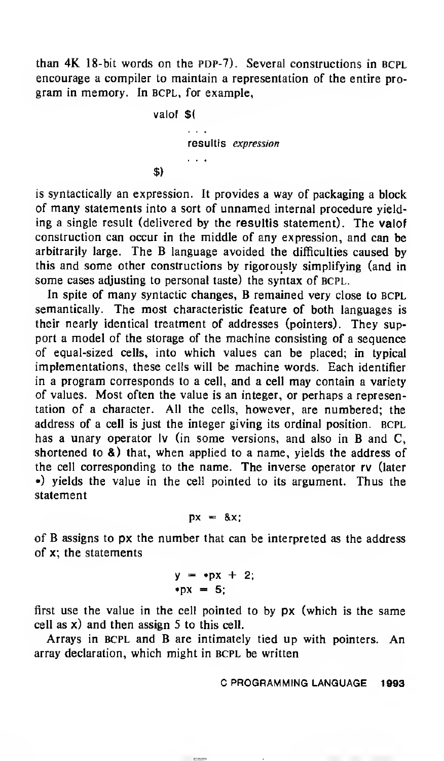than  $4K$  18-bit words on the PDP-7). Several constructions in BCPL encourage a compiler to maintain a representation of the entire pro gram in memory. In bcpl, for example,

> valof \$(  $\ldots$ resultis expression  $\cdots$ \$)

is syntactically an expression. It provides a way of packaging a block of many statements into <sup>a</sup> sort of unnamed internal procedure yielding a single result (delivered by the resultis statement). The valof construction can occur in the middle of any expression, and can be arbitrarily large. The B language avoided the difficulties caused by this and some other constructions by rigorously simplifying (and in some cases adjusting to personal taste) the syntax of BCPL.

In spite of many syntactic changes, B remained very close to BCPL semantically. The most characteristic feature of both languages is their nearly identical treatment of addresses (pointers). They support a model of the storage of the machine consisting of a sequence of equal-sized cells, into which values can be placed; in typical implementations, these cells will be machine words. Each identifier in a program corresponds to <sup>a</sup> cell, and a cell may contain a variety of values. Most often the value is an integer, or perhaps <sup>a</sup> representation of a character. All the cells, however, are numbered; the address of a cell is just the integer giving its ordinal position. BCPL has a unary operator Iv (in some versions, and also in B and C, shortened to &) that, when applied to a name, yields the address of the cell corresponding to the name. The inverse operator rv (later •) yields the value in the cell pointed to its argument. Thus the statement

 $px = 8x$ ;

of B assigns to px the number that can be interpreted as the address of x; the statements

$$
y = \bullet px + 2;
$$
  

$$
\bullet px = 5;
$$

first use the value in the cell pointed to by px (which is the same cell as  $x$ ) and then assign 5 to this cell.

Arrays in BCPL and B are intimately tied up with pointers. An array declaration, which might in BCPL be written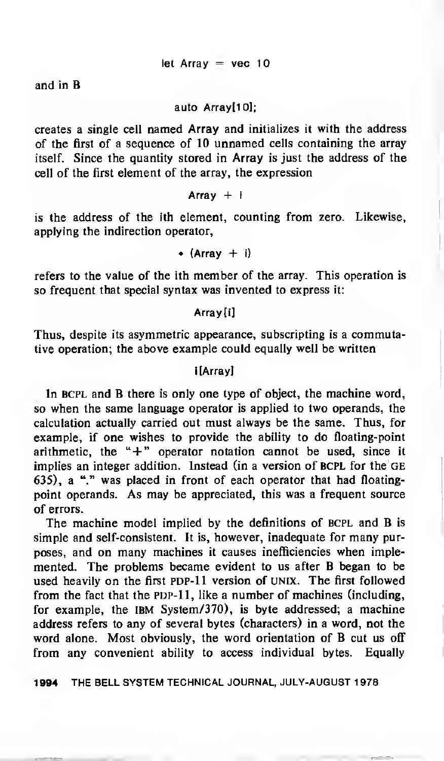and in B

#### auto Array[10];

creates a single cell named Array and initializes it with the address of the first of a sequence of 10 unnamed cells containing the array itself. Since the quantity stored in Array is just the address of the cell of the first element of the array, the expression

Array  $+ i$ 

is the address of the ith element, counting from zero. Likewise, applying the indirection operator,

•  $(Arrav + i)$ 

refers to the value of the ith member of the array. This operation is so frequent that special syntax was invented to express it:

#### Array [i]

Thus, despite its asymmetric appearance, subscripting is a commutative operation; the above example could equally well be written

#### <sup>i</sup> [Array]

In BCPL and B there is only one type of object, the machine word, so when the same language operator is applied to two operands, the calculation actually carried out must always be the same. Thus, for example, if one wishes to provide the ability to do floating-point arithmetic, the " $+$ " operator notation cannot be used, since it implies an integer addition. Instead (in a version of BCPL for the GE 635), a "." was placed in front of each operator that had floatingpoint operands. As may be appreciated, this was a frequent source of errors.

The machine model implied by the definitions of BCPL and B is simple and self-consistent. It is, however, inadequate for many purposes, and on many machines it causes inefficiencies when implemented. The problems became evident to us after B began to be used heavily on the first PDP-11 version of UNIX. The first followed from the fact that the PDP-11, like a number of machines (including, for example, the IBM System/370), is byte addressed; a machine address refers to any of several bytes (characters) in a word, not the word alone. Most obviously, the word orientation of B cut us off from any convenient ability to access individual bytes. Equally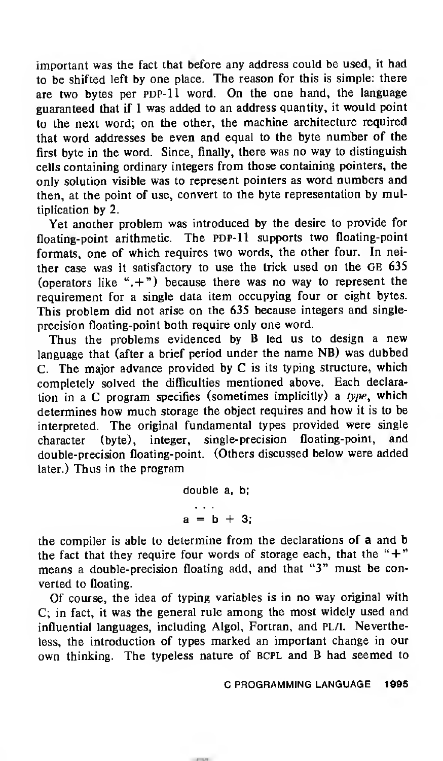important was the fact that before any address could be used, it had to be shifted left by one place. The reason for this is simple: there are two bytes per PDP-11 word. On the one hand, the language guaranteed that if <sup>1</sup> was added to an address quantity, it would point to the next word; on the other, the machine architecture required that word addresses be even and equal to the byte number of the first byte in the word. Since, finally, there was no way to distinguish cells containing ordinary integers from those containing pointers, the only solution visible was to represent pointers as word numbers and then, at the point of use, convert to the byte representation by multiplication by 2.

Yet another problem was introduced by the desire to provide for floating-point arithmetic. The PDP-11 supports two floating-point formats, one of which requires two words, the other four. In neither case was it satisfactory to use the trick used on the GE 635 (operators like " $, +$ ") because there was no way to represent the requirement for a single data item occupying four or eight bytes. This problem did not arise on the 635 because integers and singleprecision floating-point both require only one word.

Thus the problems evidenced by B led us to design <sup>a</sup> new language that (after <sup>a</sup> brief period under the name NB) was dubbed C. The major advance provided by C is its typing structure, which completely solved the difficulties mentioned above. Each declaration in <sup>a</sup> C program specifies (sometimes implicitly) <sup>a</sup> type, which determines how much storage the object requires and how it is to be interpreted. The original fundamental types provided were single character (byte), integer, single-precision floating-point, and double-precision floating-point. (Others discussed below were added later.) Thus in the program

> double a, b;  $a = b + 3$ ;

the compiler is able to determine from the declarations of a and b the fact that they require four words of storage each, that the " $+$ " means <sup>a</sup> double-precision floating add, and that "3" must be converted to floating.

Of course, the idea of typing variables is in no way original with C; in fact, it was the general rule among the most widely used and influential languages, including Algol, Fortran, and PL/I. Nevertheless, the introduction of types marked an important change in our own thinking. The typeless nature of bcpl and B had seemed to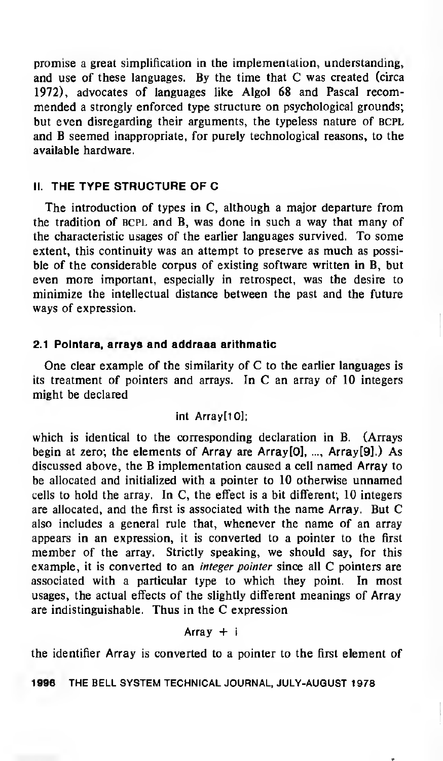promise a great simplification in the implementation, understanding, and use of these languages. By the time that C was created (circa 1972), advocates of languages like Algol 68 and Pascal recommended <sup>a</sup> strongly enforced type structure on psychological grounds; but even disregarding their arguments, the typeless nature of BCPL and B seemed inappropriate, for purely technological reasons, to the available hardware.

### II. THE TYPE STRUCTURE OF C

The introduction of types in C, although a major departure from the tradition of bcpl and B, was done in such a way that many of the characteristic usages of the earlier languages survived. To some extent, this continuity was an attempt to preserve as much as possible of the considerable corpus of existing software written in B, but even more important, especially in retrospect, was the desire to minimize the intellectual distance between the past and the future ways of expression.

#### 2.1 Pointara, arrays and addraaa arithmatic

One clear example of the similarity of C to the earlier languages is its treatment of pointers and arrays. In C an array of 10 integers might be declared

#### int Array[10];

which is identical to the corresponding declaration in B. (Arrays begin at zero; the elements of Array are Array [0], ...,  $Array[9]$ .) As discussed above, the B implementation caused a cell named Array to be allocated and initialized with <sup>a</sup> pointer to 10 otherwise unnamed cells to hold the array. In C, the effect is a bit different; 10 integers are allocated, and the first is associated with the name Array. But C also includes <sup>a</sup> general rule that, whenever the name of an array appears in an expression, it is converted to a pointer to the first member of the array. Strictly speaking, we should say, for this example, it is converted to an integer pointer since all C pointers are associated with a particular type to which they point. In most usages, the actual effects of the slightly different meanings of Array are indistinguishable. Thus in the C expression

### Array  $+ i$

the identifier Array is converted to a pointer to the first element of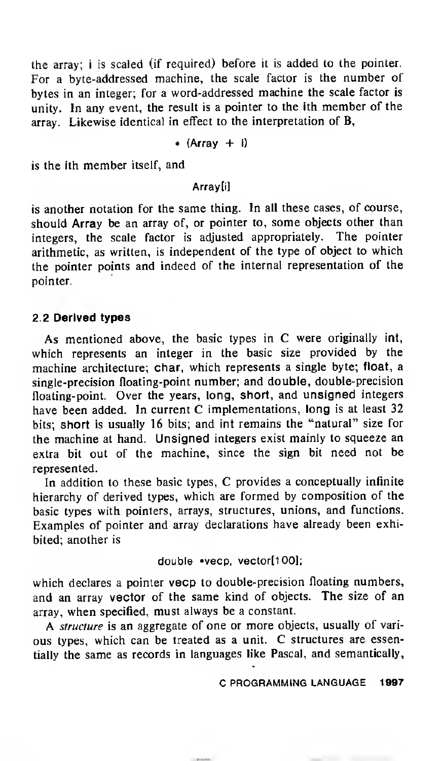the array; <sup>i</sup> is scaled (if required) before it is added to the pointer. For <sup>a</sup> byte-addressed machine, the scale factor is the number of bytes in an integer; for a word-addressed machine the scale factor is unity. In any event, the result is <sup>a</sup> pointer to the ith member of the array. Likewise identical in effect to the interpretation of B,

\*  $(Array + i)$ 

is the ith member itself, and

### Arrayli]

is another notation for the same thing. In all these cases, of course, should Array be an array of, or pointer to, some objects other than integers, the scale factor is adjusted appropriately. The pointer arithmetic, as written, is independent of the type of object to which the pointer points and indeed of the internal representation of the pointer.

#### 2.2 Derived types

As mentioned above, the basic types in C were originally int, which represents an integer in the basic size provided by the machine architecture; char, which represents a single byte; float, a single-precision floating-point number; and double, double-precision floating-point. Over the years, long, short, and unsigned integers have been added. In current C implementations, long is at least 32 bits; short is usually 16 bits; and int remains the "natural" size for the machine at hand. Unsigned integers exist mainly to squeeze an extra bit out of the machine, since the sign bit need not be represented.

In addition to these basic types, C provides <sup>a</sup> conceptually infinite hierarchy of derived types, which are formed by composition of the basic types with pointers, arrays, structures, unions, and functions. Examples of pointer and array declarations have already been exhibited; another is

#### double \*vecp, vector[100];

which declares <sup>a</sup> pointer vecp to double-precision floating numbers, and an array vector of the same kind of objects. The size of an array, when specified, must always be <sup>a</sup> constant.

A structure is an aggregate of one or more objects, usually of various types, which can be treated as <sup>a</sup> unit. C structures are essentially the same as records in languages like Pascal, and semantically,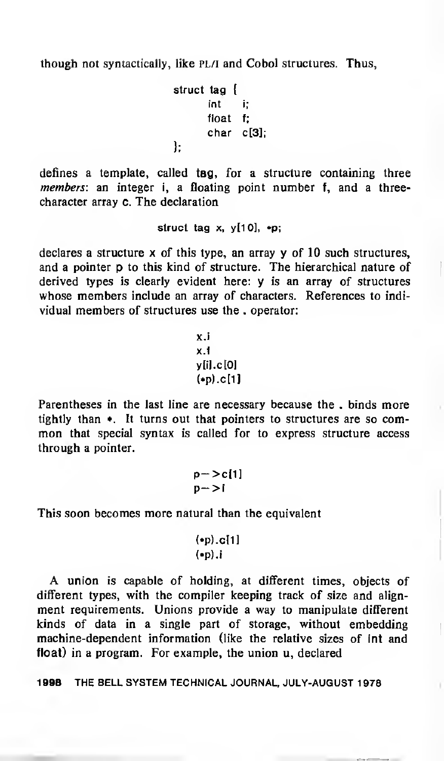though not syntactically, like PL/l and Cobol structures. Thus,

struct tag { int i; float f; char c[3]; };

defines a template, called tag, for a structure containing three members: an integer i, a floating point number f, and a threecharacter array c. The declaration

struct tag x,  $v[10]$ ,  $\neg p$ ;

declares a structure  $x$  of this type, an array  $y$  of 10 such structures, and a pointer p to this kind of structure. The hierarchical nature of derived types is clearly evident here: y is an array of structures whose members include an array of characters. References to individual members of structures use the . operator:

> x.i x.f y[i].c[o] (\*p).c[1]

Parentheses in the last line are necessary because the . binds more tightly than \*. It turns out that pointers to structures are so com mon that special syntax is called for to express structure access through a pointer.

p->c[1] p->i

This soon becomes more natural than the equivalent

M.c[1] (•p).i

A union is capable of holding, at different times, objects of different types, with the compiler keeping track of size and alignment requirements. Unions provide a way to manipulate different kinds of data in a single part of storage, without embedding machine-dependent information (like the relative sizes of int and float) in a program. For example, the union u, declared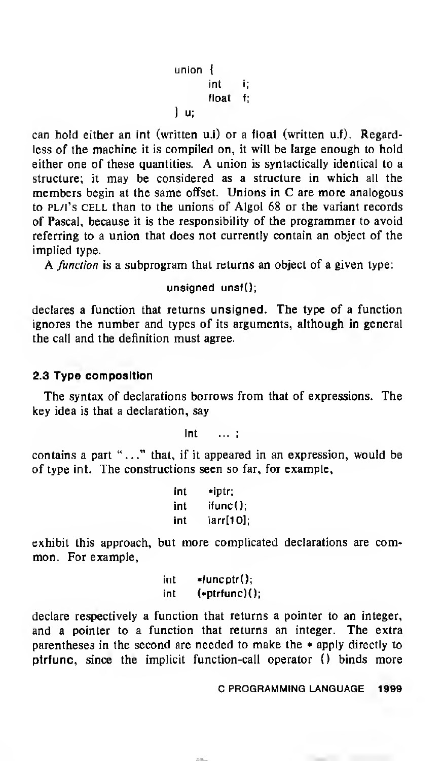```
union (
      int i;
      float f;
} u;
```
can hold either an int (written u.i) or a float (written u.f). Regardless of the machine it is compiled on, it will be large enough to hold either one of these quantities. A union is syntactically identical to <sup>a</sup> structure; it may be considered as a structure in which all the members begin at the same offset. Unions in C are more analogous to PL/l's CELL than to the unions of Algol 68 or the variant records of Pascal, because it is the responsibility of the programmer to avoid referring to a union that does not currently contain an object of the implied type.

A function is <sup>a</sup> subprogram that returns an object of <sup>a</sup> given type:

 $unsigned$   $unst()$ ;

declares a function that returns unsigned. The type of a function ignores the number and types of its arguments, although in general the call and the definition must agree.

#### 2.3 Type composition

The syntax of declarations borrows from that of expressions. The key idea is that a declaration, say

int ... ;

contains a part "..." that, if it appeared in an expression, would be of type int. The constructions seen so far, for example,

| int | ∗iptr:    |
|-----|-----------|
| int | ifunc():  |
| int | iarr[10]: |

exhibit this approach, but more complicated declarations are common. For example,

> int »funcptr();  $int$  (\*ptrfunc)();

declare respectively a function that returns a pointer to an integer, and <sup>a</sup> pointer to <sup>a</sup> function that returns an integer. The extra parentheses in the second are needed to make the • apply directly to ptrfunc, since the implicit function-call operator () binds more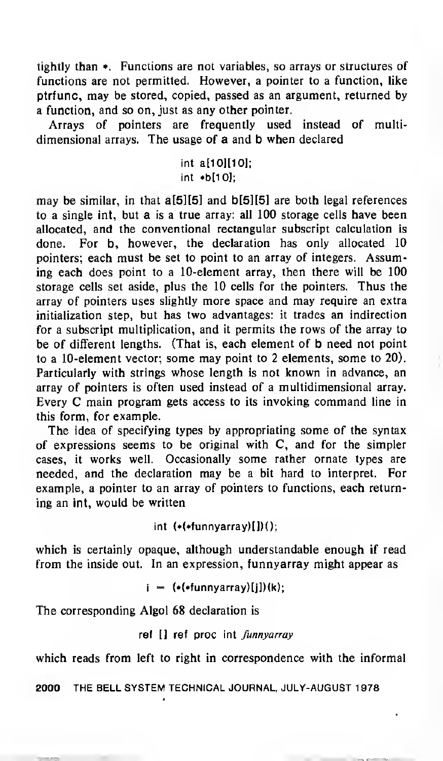tightly than \*. Functions are not variables, so arrays or structures of functions are not permitted. However, a pointer to a function, like ptrfunc, may be stored, copied, passed as an argument, returned by a function, and so on, just as any other pointer.

Arrays of pointers are frequently used instead of multidimensional arrays. The usage of a and b when declared

> int a[10][10];  $int -b[10]$ ;

may be similar, in that  $a[5][5]$  and  $b[5][5]$  are both legal references to a single int, but a is a true array: all 100 storage cells have been allocated, and the conventional rectangular subscript calculation is done. For b, however, the declaration has only allocated 10 pointers; each must be set to point to an array of integers. Assuming each does point to a 10-element array, then there will be 100 storage cells set aside, plus the 10 cells for the pointers. Thus the array of pointers uses slightly more space and may require an extra initialization step, but has two advantages: it trades an indirection for a subscript multiplication, and it permits the rows of the array to be of different lengths. (That is, each element of b need not point to a 10-element vector; some may point to 2 elements, some to 20). Particularly with strings whose length is not known in advance, an array of pointers is often used instead of a multidimensional array. Every C main program gets access to its invoking command line in this form, for example.

The idea of specifying types by appropriating some of the syntax of expressions seems to be original with C, and for the simpler cases, it works well. Occasionally some rather ornate types are needed, and the declaration may be a bit hard to interpret. For example, a pointer to an array of pointers to functions, each returning an int, would be written

int (•(•funnyarray)[])();

which is certainly opaque, although understandable enough if read from the inside out. In an expression, funnyarray might appear as

 $i = (\cdot(\cdot(\text{unnyarray})[j])(k);$ 

The corresponding Algol 68 declaration is

ref [] ref proc int funnyarray

which reads from left to right in correspondence with the informal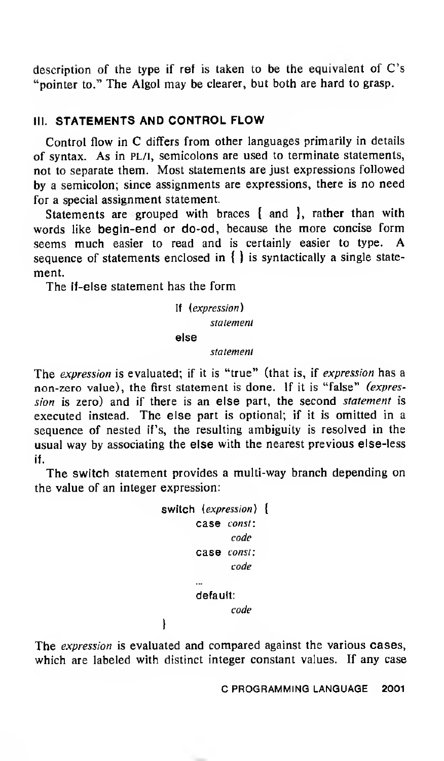description of the type if ref is taken to be the equivalent of  $\mathbb{C}^{\prime}$ 's "pointer to." The Algol may be clearer, but both are hard to grasp.

### III. STATEMENTS AND CONTROL FLOW

Control flow in C differs from other languages primarily in details of syntax. As in pl/i, semicolons are used to terminate statements, not to separate them. Most statements are just expressions followed by <sup>a</sup> semicolon; since assignments are expressions, there is no need for a special assignment statement.

Statements are grouped with braces { and }, rather than with words like begin-end or do-od, because the more concise form seems much easier to read and is certainly easier to type. A sequence of statements enclosed in  $\{\}$  is syntactically a single statement.

The if-else statement has the form

if (expression)

statement

else

statement

The expression is evaluated; if it is "true" (that is, if expression has a non-zero value), the first statement is done. If it is "false" (expression is zero) and if there is an else part, the second statement is executed instead. The else part is optional; if it is omitted in a sequence of nested if's, the resulting ambiguity is resolved in the usual way by associating the else with the nearest previous else-less if.

The switch statement provides a multi-way branch depending on the value of an integer expression:

```
switch (expression) {
       case const:
              code
       case const:
              code
       default:
              code
}
```
The *expression* is evaluated and compared against the various cases, which are labeled with distinct integer constant values. If any case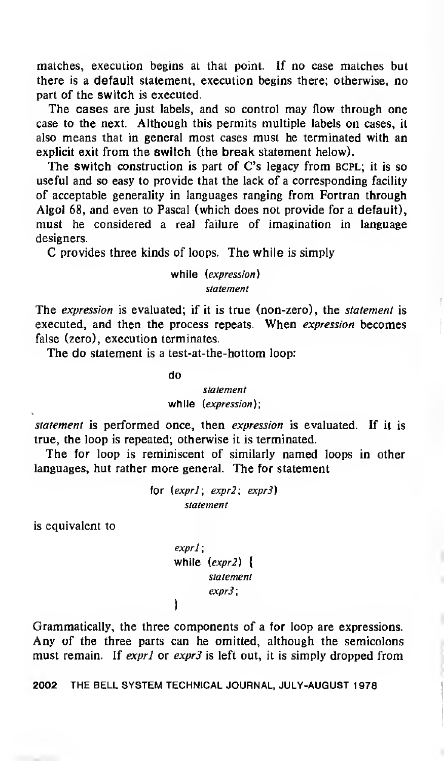matches, execution begins at that point. If no case matches but there is a default statement, execution begins there; otherwise, no part of the switch is executed.

The cases are just labels, and so control may flow through one case to the next. Although this permits multiple labels on cases, it also means that in general most cases must be terminated with an explicit exit from the switch (the break statement below).

The switch construction is part of C's legacy from BCPL; it is so useful and so easy to provide that the lack of a corresponding facility of acceptable generality in languages ranging from Fortran through Algol 68, and even to Pascal (which does not provide for a default), must be considered a real failure of imagination in language designers.

C provides three kinds of loops. The while is simply

while (*expression*) statement

The *expression* is evaluated; if it is true (non-zero), the *statement* is executed, and then the process repeats. When expression becomes false (zero), execution terminates.

The do statement is a test-at-the-bottom loop:

do

### statement

#### while (expression);

statement is performed once, then expression is evaluated. If it is true, the loop is repeated; otherwise it is terminated.

The for loop is reminiscent of similarly named loops in other languages, but rather more general. The for statement

> for (exprl; expr2; expr3) statement

is equivalent to

exprl ; while  $(expr2)$  { statement  $expr3$ :

Grammatically, the three components of a for loop are expressions. Any of the three parts can be omitted, although the semicolons must remain. If expr1 or expr3 is left out, it is simply dropped from

2002 THE BELL SYSTEM TECHNICAL JOURNAL, JULY-AUGUST <sup>1</sup> 978

,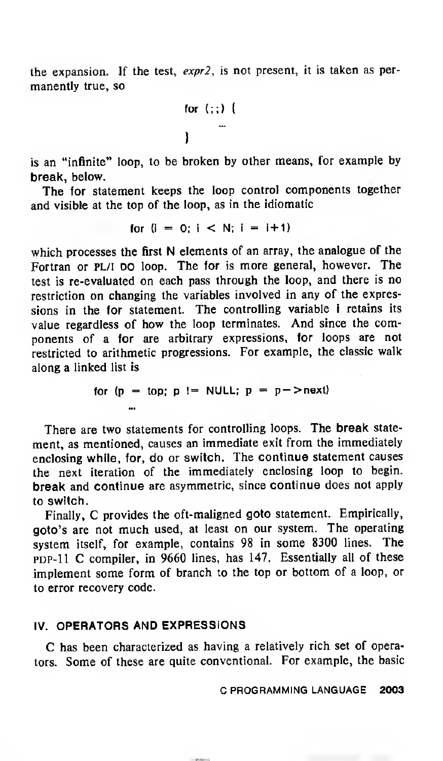the expansion. If the test, expr2, is not present, it is taken as permanently true, so

$$
\begin{array}{c}\n\text{for } (::)\n\\ \hline\n\\ \hline\n\end{array}
$$

is an "infinite" loop, to be broken by other means, for example by break, below.

The for statement keeps the loop control components together and visible at the top of the loop, as in the idiomatic

for 
$$
(i = 0; i < N; i = i + 1)
$$

which processes the first N elements of an array, the analogue of the Fortran or PL/I DO loop. The for is more general, however. The test is re-evaluated on each pass through the loop, and there is no restriction on changing the variables involved in any of the expressions in the for statement. The controlling variable <sup>i</sup> retains its value regardless of how the loop terminates. And since the components of a for are arbitrary expressions, for loops are not restricted to arithmetic progressions. For example, the classic walk along a linked list is

> for  $(p = top; p != NULL; p = p->next)$  $\ddot{\phantom{a}}$

There are two statements for controlling loops. The break statement, as mentioned, causes an immediate exit from the immediately enclosing while, for, do or switch. The continue statement causes the next iteration of the immediately enclosing loop to begin, break and continue are asymmetric, since continue does not apply to switch.

Finally, C provides the oft-maligned goto statement. Empirically, goto's are not much used, at least on our system. The operating system itself, for example, contains 98 in some 8300 lines. The PDP-11 C compiler, in 9660 lines, has 147. Essentially all of these implement some form of branch to the top or bottom of <sup>a</sup> loop, or to error recovery code.

### IV. OPERATORS AND EXPRESSIONS

C has been characterized as having <sup>a</sup> relatively rich set of operators. Some of these are quite conventional. For example, the basic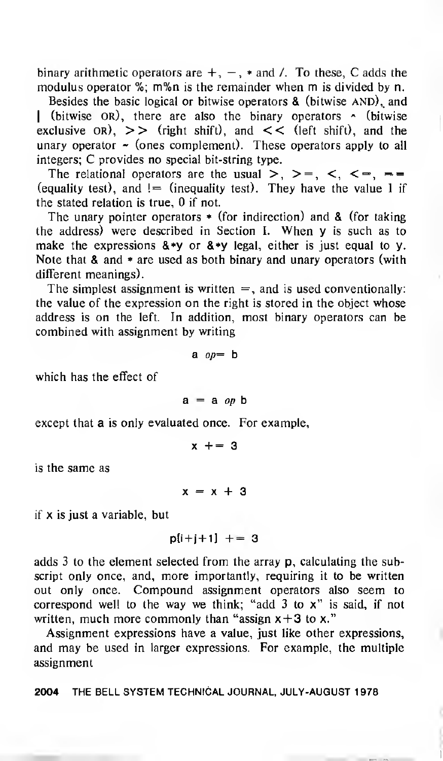binary arithmetic operators are  $+$ ,  $-$ ,  $*$  and  $\ell$ . To these, C adds the modulus operator %; m%n is the remainder when m is divided by n.

Besides the basic logical or bitwise operators  $\&$  (bitwise AND), and <sup>|</sup> (bitwise or), there are also the binary operators •» (bitwise exclusive  $OR$ ),  $>>$  (right shift), and  $<<$  (left shift), and the unary operator  $\sim$  (ones complement). These operators apply to all integers; C provides no special bit-string type.

The relational operators are the usual  $\geq$ ,  $\geq$  =,  $\lt$ ,  $\lt$  =, == (equality test), and  $!=$  (inequality test). They have the value 1 if the stated relation is true,  $\theta$  if not.

The unary pointer operators  $*$  (for indirection) and & (for taking the address) were described in Section I. When y is such as to make the expressions  $8 \times y$  or  $8 \times y$  legal, either is just equal to y. Note that & and \* are used as both binary and unary operators (with different meanings).

The simplest assignment is written  $=$ , and is used conventionally: the value of the expression on the right is stored in the object whose address is on the left. In addition, most binary operators can be combined with assignment by writing

$$
a \text{ } op = b
$$

which has the effect of

$$
a = a \text{ op } b
$$

except that a is only evaluated once. For example,

 $x + = 3$ 

is the same as

 $x = x + 3$ 

if x is just a variable, but

 $p[i+j+1]$  + = 3

adds 3 to the element selected from the array p, calculating the subscript only once, and, more importantly, requiring it to be written out only once. Compound assignment operators also seem to correspond well to the way we think; "add  $3$  to  $x$ " is said, if not written, much more commonly than "assign  $x+3$  to x."

Assignment expressions have a value, just like other expressions, and may be used in larger expressions. For example, the multiple assignment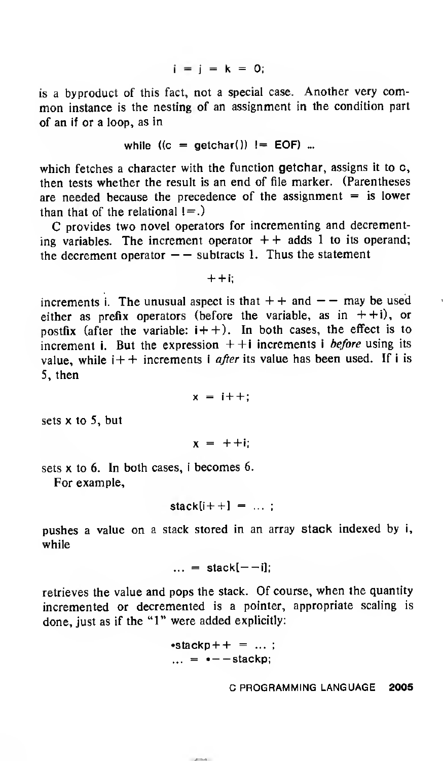is <sup>a</sup> byproduct of this fact, not <sup>a</sup> special case. Another very common instance is the nesting of an assignment in the condition part of an if or a loop, as in

while 
$$
((c = \text{getchar})) := \text{EOF})
$$
 ...

which fetches a character with the function getchar, assigns it to c, then tests whether the result is an end of file marker. (Parentheses are needed because the precedence of the assignment  $=$  is lower than that of the relational  $!=$ .)

C provides two novel operators for incrementing and decrementing variables. The increment operator  $++$  adds 1 to its operand; the decrement operator  $--$  subtracts 1. Thus the statement

 $++$ i;

increments i. The unusual aspect is that  $++$  and  $--$  may be used either as prefix operators (before the variable, as in  $++i$ ), or postfix (after the variable:  $i + +$ ). In both cases, the effect is to increment i. But the expression  $++i$  increments i *before* using its value, while  $i + +$  increments i after its value has been used. If i is 5, then

 $x = i + +$ ;

sets x to 5, but

 $x = + +i$ ;

sets x to 6. In both cases, <sup>i</sup>becomes 6.

For example,

stack $[i + +] = \ldots$ 

pushes <sup>a</sup> value on <sup>a</sup> stack stored in an array stack indexed by i, while

 $\ldots$  = stack $[--i]$ :

retrieves the value and pops the stack. Of course, when the quantity incremented or decremented is a pointer, appropriate scaling is done, just as if the "1" were added explicitly:

> $*stack + + = ...;$  $\ldots$  =  $\ast$  - stackp;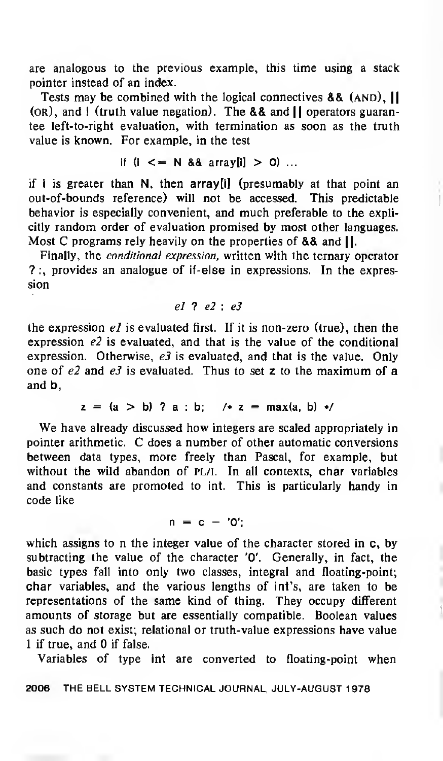are analogous to the previous example, this time using a stack pointer instead of an index.

Tests may be combined with the logical connectives  $88$  (AND),  $||$ (OR), and ! (truth value negation). The  $88$  and  $||$  operators guarantee left-to-right evaluation, with termination as soon as the truth value is known. For example, in the test

if (i 
$$
\leq
$$
 = N 8.8 array[i] > 0) ...

if <sup>i</sup> is greater than N, then arrayli] (presumably at that point an out-of-bounds reference) will not be accessed. This predictable behavior is especially convenient, and much preferable to the explicitly random order of evaluation promised by most other languages. Most C programs rely heavily on the properties of && and ||.

Finally, the conditional expression, written with the ternary operator ? :, provides an analogue of if-else in expressions. In the expression

el ? e2 : e3

the expression  $eI$  is evaluated first. If it is non-zero (true), then the expression  $e^2$  is evaluated, and that is the value of the conditional expression. Otherwise,  $e3$  is evaluated, and that is the value. Only one of  $e^2$  and  $e^3$  is evaluated. Thus to set z to the maximum of a and b,

$$
z = (a > b) ? a : b;
$$
  $\rightarrow z = max(a, b) \rightarrow$ 

We have already discussed how integers are scaled appropriately in pointer arithmetic. C does <sup>a</sup> number of other automatic conversions between data types, more freely than Pascal, for example, but without the wild abandon of PL/I. In all contexts, char variables and constants are promoted to int. This is particularly handy in code like

$$
n = c - '0';
$$

which assigns to n the integer value of the character stored in c, by subtracting the value of the character '0'. Generally, in fact, the basic types fall into only two classes, integral and floating-point; char variables, and the various lengths of int's, are taken to be representations of the same kind of thing. They occupy different amounts of storage but are essentially compatible. Boolean values as such do not exist; relational or truth-value expressions have value 1 if true, and 0 if false.

Variables of type int are converted to floating-point when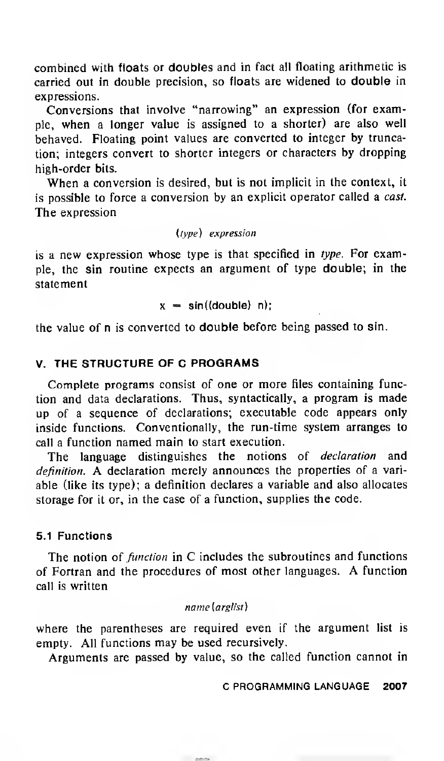combined with floats or doubles and in fact all floating arithmetic is carried out in double precision, so floats are widened to double in expressions.

Conversions that involve "narrowing" an expression (for example, when <sup>a</sup> longer value is assigned to <sup>a</sup> shorter) are also well behaved. Floating point values are converted to integer by truncation; integers convert to shorter integers or characters by dropping high-order bits.

When <sup>a</sup> conversion is desired, but is not implicit in the context, it is possible to force a conversion by an explicit operator called a cast. The expression

#### (type) expression

is <sup>a</sup> new expression whose type is that specified in type. For example, the sin routine expects an argument of type double; in the statement

$$
x = \sin((\text{double}) n);
$$

the value of n is converted to double before being passed to sin.

#### V. THE STRUCTURE OF C PROGRAMS

Complete programs consist of one or more files containing function and data declarations. Thus, syntactically, <sup>a</sup> program is made up of a sequence of declarations; executable code appears only inside functions. Conventionally, the run-time system arranges to call <sup>a</sup> function named main to start execution.

The language distinguishes the notions of *declaration* and definition. A declaration merely announces the properties of a variable (like its type); <sup>a</sup> definition declares a variable and also allocates storage for it or, in the case of a function, supplies the code.

#### 5.1 Functions

The notion of *function* in C includes the subroutines and functions of Fortran and the procedures of most other languages. A function call is written

#### name(arglist)

where the parentheses are required even if the argument list is empty. All functions may be used recursively.

Arguments are passed by value, so the called function cannot in

### C PROGRAMMING LANGUAGE 2007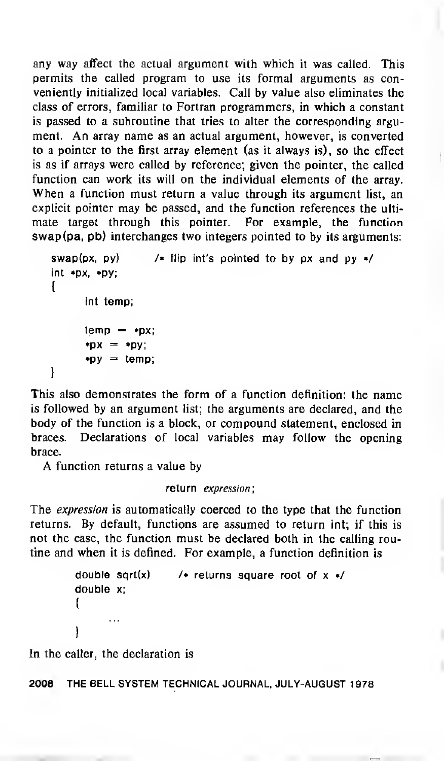any way affect the actual argument with which it was called. This permits the called program to use its formal arguments as conveniently initialized local variables. Call by value also eliminates the class of errors, familiar to Fortran programmers, in which a constant is passed to a subroutine that tries to alter the corresponding argument. An array name as an actual argument, however, is converted to a pointer to the first array element (as it always is), so the effect is as if arrays were called by reference; given the pointer, the called function can work its will on the individual elements of the array. When a function must return a value through its argument list, an explicit pointer may be passed, and the function references the ultimate target through this pointer. For example, the function swap (pa, pb) interchanges two integers pointed to by its arguments:

```
swap(px, py) \rightarrow flip int's pointed to by px and py \rightarrow/
int *px, *py;
ι.
       int temp;
       temp = \pm px;*px = *py;
       *py = temp;
}
```
This also demonstrates the form of <sup>a</sup> function definition: the name is followed by an argument list; the arguments are declared, and the body of the function is a block, or compound statement, enclosed in braces. Declarations of local variables may follow the opening brace.

A function returns <sup>a</sup> value by

return expression;

The *expression* is automatically coerced to the type that the function returns. By default, functions are assumed to return int; if this is not the case, the function must be declared both in the calling routine and when it is defined. For example, a function definition is

```
double sqrt(x) \rightarrow returns square root of x \rightarrow/
double x;
       \ldots
```
In the caller, the declaration is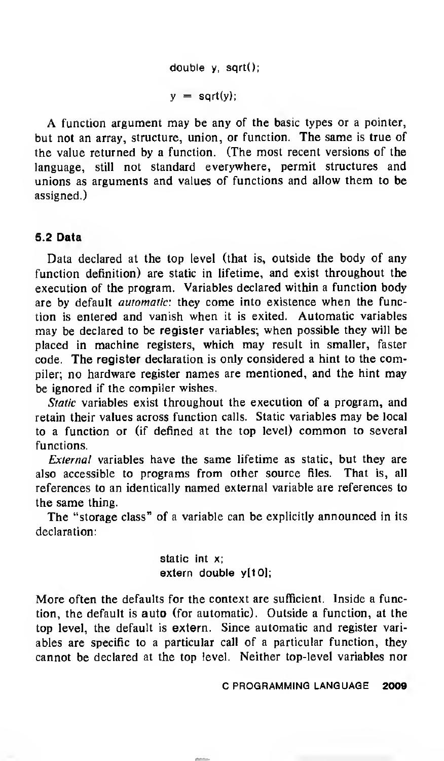double  $y$ , sqrt $()$ ;  $y = sqrt(y)$ ;

A function argument may be any of the basic types or <sup>a</sup> pointer, but not an array, structure, union, or function. The same is true of the value returned by a function. (The most recent versions of the language, still not standard everywhere, permit structures and unions as arguments and values of functions and allow them to be assigned.)

### 5.2 Data

Data declared at the top level (that is, outside the body of any function definition) are static in lifetime, and exist throughout the execution of the program. Variables declared within a function body are by default *automatic*: they come into existence when the function is entered and vanish when it is exited. Automatic variables may be declared to be register variables; when possible they will be placed in machine registers, which may result in smaller, faster code. The register declaration is only considered <sup>a</sup> hint to the compiler; no hardware register names are mentioned, and the hint may be ignored if the compiler wishes.

Static variables exist throughout the execution of a program, and retain their values across function calls. Static variables may be local to <sup>a</sup> function or (if defined at the top level) common to several functions.

External variables have the same lifetime as static, but they are also accessible to programs from other source files. That is, all references to an identically named external variable are references to the same thing.

The "storage class" of <sup>a</sup> variable can be explicitly announced in its declaration:

> static int x; extern double y[10];

More often the defaults for the context are sufficient. Inside <sup>a</sup> function, the default is auto (for automatic). Outside a function, at the top level, the default is extern. Since automatic and register variables are specific to a particular call of a particular function, they cannot be declared at the top level. Neither top-level variables nor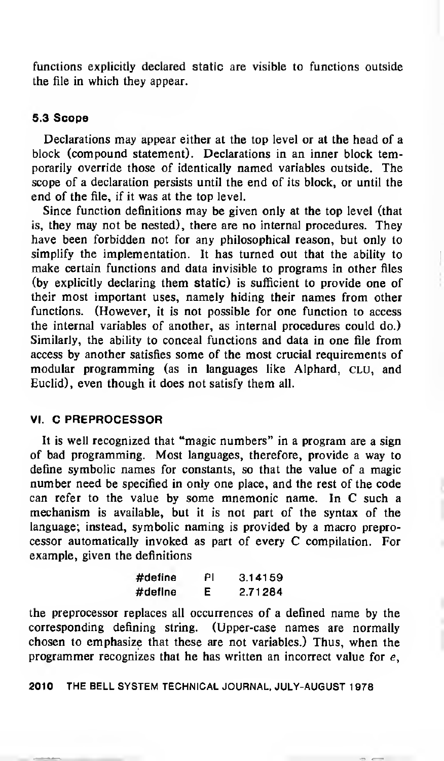functions explicitly declared static are visible to functions outside the file in which they appear.

### 5.3 Scope

Declarations may appear either at the top level or at the head of a block (compound statement). Declarations in an inner block temporarily override those of identically named variables outside. The scope of a declaration persists until the end of its block, or until the end of the file, if it was at the top level.

Since function definitions may be given only at the top level (that is, they may not be nested), there are no internal procedures. They have been forbidden not for any philosophical reason, but only to simplify the implementation. It has turned out that the ability to make certain functions and data invisible to programs in other files (by explicitly declaring them static) is sufficient to provide one of their most important uses, namely hiding their names from other functions. (However, it is not possible for one function to access the internal variables of another, as internal procedures could do.) Similarly, the ability to conceal functions and data in one file from access by another satisfies some of the most crucial requirements of modular programming (as in languages like Alphard, CLU, and Euclid), even though it does not satisfy them all.

### VI. C PREPROCESSOR

It is well recognized that "magic numbers" in a program are a sign of bad programming. Most languages, therefore, provide a way to define symbolic names for constants, so that the value of a magic number need be specified in only one place, and the rest of the code can refer to the value by some mnemonic name. In C such <sup>a</sup> mechanism is available, but it is not part of the syntax of the language; instead, symbolic naming is provided by a macro preprocessor automatically invoked as part of every C compilation. For example, given the definitions

| #define | ΡI | 3.14159 |
|---------|----|---------|
| #define | Е  | 2.71284 |

the preprocessor replaces all occurrences of <sup>a</sup> defined name by the corresponding defining string. (Upper-case names are normally chosen to emphasize that these are not variables.) Thus, when the programmer recognizes that he has written an incorrect value for  $e$ ,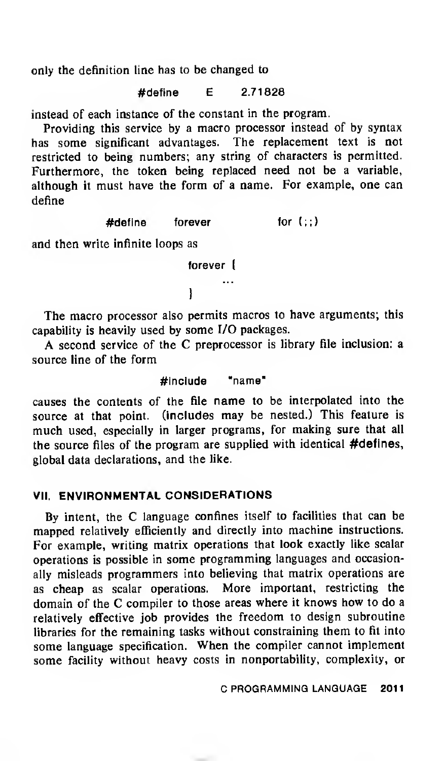only the definition line has to be changed to

### #define E 2.71828

instead of each instance of the constant in the program.

Providing this service by a macro processor instead of by syntax has some significant advantages. The replacement text is not restricted to being numbers; any string of characters is permitted. Furthermore, the token being replaced need not be a variable, although it must have the form of a name. For example, one can define

 $\#$ define forever for  $(:;)$ 

and then write infinite loops as

forever { }

The macro processor also permits macros to have arguments; this capability is heavily used by some I/O packages.

A second service of the C preprocessor is library file inclusion: <sup>a</sup> source line of the form

#include "name"

causes the contents of the file name to be interpolated into the source at that point, (includes may be nested.) This feature is much used, especially in larger programs, for making sure that all the source files of the program are supplied with identical #defines, global data declarations, and the like.

### VII. ENVIRONMENTAL CONSIDERATIONS

By intent, the C language confines itself to facilities that can be mapped relatively efficiently and directly into machine instructions. For example, writing matrix operations that look exactly like scalar operations is possible in some programming languages and occasionally misleads programmers into believing that matrix operations are as cheap as scalar operations. More important, restricting the domain of the C compiler to those areas where it knows how to do <sup>a</sup> relatively effective job provides the freedom to design subroutine libraries for the remaining tasks without constraining them to fit into some language specification. When the compiler cannot implement some facility without heavy costs in nonportability, complexity, or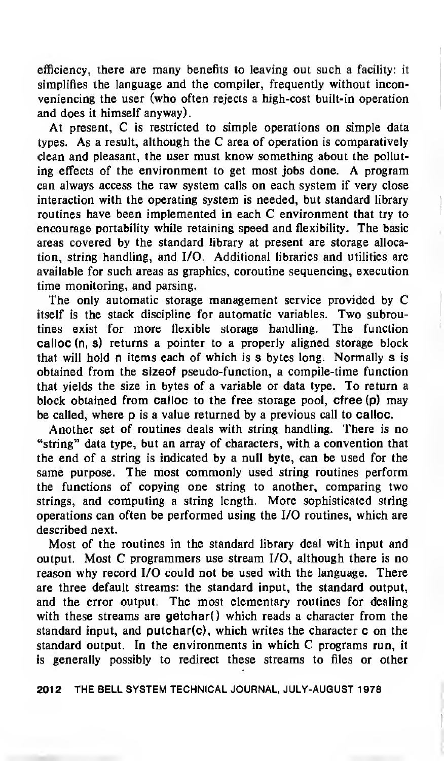efficiency, there are many benefits to leaving out such a facility: it simplifies the language and the compiler, frequently without inconveniencing the user (who often rejects a high-cost built-in operation and does it himself anyway).

At present, C is restricted to simple operations on simple data types. As <sup>a</sup> result, although the C area of operation is comparatively clean and pleasant, the user must know something about the polluting effects of the environment to get most jobs done. A program can always access the raw system calls on each system if very close interaction with the operating system is needed, but standard library routines have been implemented in each C environment that try to encourage portability while retaining speed and flexibility. The basic areas covered by the standard library at present are storage allocation, string handling, and I/O. Additional libraries and utilities are available for such areas as graphics, coroutine sequencing, execution time monitoring, and parsing.

The only automatic storage management service provided by C itself is the stack discipline for automatic variables. Two subroutines exist for more flexible storage handling. The function calloc (n, s) returns a pointer to a properly aligned storage block that will hold n items each of which is s bytes long. Normally s is obtained from the sizeof pseudo-function, a compile-time function that yields the size in bytes of a variable or data type. To return a block obtained from calloc to the free storage pool, cfree (p) may be called, where p is a value returned by a previous call to calloc.

Another set of routines deals with string handling. There is no "string" data type, but an array of characters, with a convention that the end of a string is indicated by a null byte, can be used for the same purpose. The most commonly used string routines perform the functions of copying one string to another, comparing two strings, and computing <sup>a</sup> string length. More sophisticated string operations can often be performed using the I/O routines, which are described next.

Most of the routines in the standard library deal with input and output. Most C programmers use stream I/O, although there is no reason why record I/O could not be used with the language. There are three default streams: the standard input, the standard output, and the error output. The most elementary routines for dealing with these streams are  $q$  and  $q$  which reads a character from the standard input, and putchar(c), which writes the character c on the standard output. In the environments in which C programs run, it is generally possibly to redirect these streams to files or other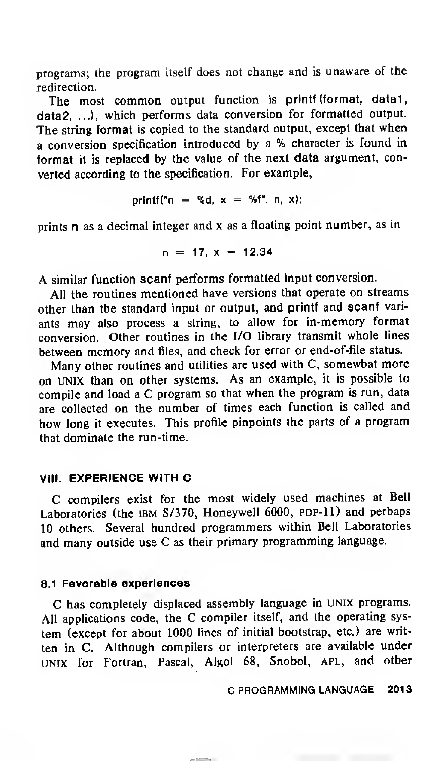programs; the program itself does not change and is unaware of the redirection.

The most common output function is print (format, data1, data2, ...), which performs data conversion for formatted output. The string format is copied to the standard output, except that when <sup>a</sup> conversion specification introduced by <sup>a</sup> % character is found in format it is replaced by the value of the next data argument, converted according to the specification. For example,

$$
printf("n = %d, x = %f", n, x);
$$

prints n as <sup>a</sup> decimal integer and x as <sup>a</sup> floating point number, as in

$$
n = 17, x = 12.34
$$

A similar function scant performs formatted input conversion.

All the routines mentioned have versions that operate on streams other than the standard input or output, and printf and scant variants may also process <sup>a</sup> string, to allow for in-memory format conversion. Other routines in the I/O library transmit whole lines between memory and files, and check for error or end-of-file status.

Many other routines and utilities are used with C, somewhat more on UNIX than on other systems. As an example, it is possible to compile and load <sup>a</sup> C program so that when the program is run, data are collected on the number of times each function is called and how long it executes. This profile pinpoints the parts of <sup>a</sup> program that dominate the run-time.

#### VIM. EXPERIENCE WITH C

C compilers exist for the most widely used machines at Bell Laboratories (the IBM S/370, Honeywell 6000, PDP-11) and perbaps 10 others. Several hundred programmers within Bell Laboratories and many outside use C as their primary programming language.

#### 8.1 Favorable experiences

C has completely displaced assembly language in UNIX programs. All applications code, the C compiler itself, and the operating system (except for about 1000 lines of initial bootstrap, etc.) are written in C. Although compilers or interpreters are available under UNIX for Fortran, Pascal, Algol 68, Snobol, apl, and other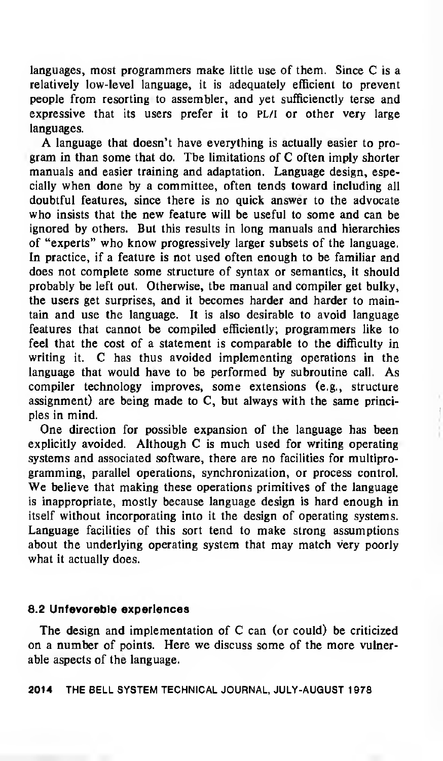languages, most programmers make little use of them. Since C is <sup>a</sup> relatively low-level language, it is adequately efficient to prevent people from resorting to assembler, and yet sufficienctly terse and expressive that its users prefer it to PL/I or other very large languages.

A language that doesn't have everything is actually easier to program in than some that do. The limitations of C often imply shorter manuals and easier training and adaptation. Language design, especially when done by <sup>a</sup> committee, often tends toward including all doubtful features, since there is no quick answer to the advocate who insists that the new feature will be useful to some and can be ignored by others. But this results in long manuals and hierarchies of "experts" who know progressively larger subsets of the language. In practice, if a feature is not used often enough to be familiar and does not complete some structure of syntax or semantics, it should probably be left out. Otherwise, the manual and compiler get bulky, the users get surprises, and it becomes harder and harder to maintain and use the language. It is also desirable to avoid language features that cannot be compiled efficiently; programmers like to feel that the cost of a statement is comparable to the difficulty in writing it. C has thus avoided implementing operations in the language that would have to be performed by subroutine call. As compiler technology improves, some extensions (e.g., structure assignment) are being made to C, but always with the same principles in mind.

One direction for possible expansion of the language has been explicitly avoided. Although C is much used for writing operating systems and associated software, there are no facilities for multiprogramming, parallel operations, synchronization, or process control. We believe that making these operations primitives of the language is inappropriate, mostly because language design is hard enough in itself without incorporating into it the design of operating systems. Language facilities of this sort tend to make strong assumptions about the underlying operating system that may match very poorly what it actually does.

### 8.2 Unfavorable experiences

The design and implementation of C can (or could) be criticized on a number of points. Here we discuss some of the more vulnerable aspects of the language.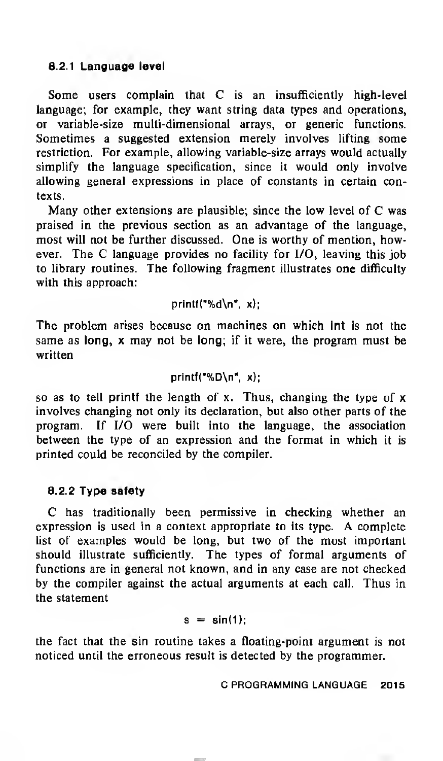### 8.2.1 Language level

Some users complain that C is an insufficiently high-level language; for example, they want string data types and operations, or variable-size multi-dimensional arrays, or generic functions. Sometimes a suggested extension merely involves lifting some restriction. For example, allowing variable-size arrays would actually simplify the language specification, since it would only involve allowing general expressions in place of constants in certain contexts.

Many other extensions are plausible; since the low level of C was praised in the previous section as an advantage of the language, most will not be further discussed. One is worthy of mention, however. The C language provides no facility for I/O, leaving this job to library routines. The following fragment illustrates one difficulty with this approach:

printf("% $d\n\cdot x$ );

The problem arises because on machines on which int is not the same as long, x may not be long; if it were, the program must be written

### printf("% $D\ln$ ", x);

so as to tell printf the length of x. Thus, changing the type of x involves changing not only its declaration, but also other parts of the program. If I/O were built into the language, the association between the type of an expression and the format in which it is printed could be reconciled by the compiler.

### 8.2.2 Type safety

C has traditionally been permissive in checking whether an expression is used in <sup>a</sup> context appropriate to its type. A complete list of examples would be long, but two of the most important should illustrate sufficiently. The types of formal arguments of functions are in general not known, and in any case are not checked by the compiler against the actual arguments at each call. Thus in the statement

$$
s = \sin(1);
$$

the fact that the sin routine takes a floating-point argument is not noticed until the erroneous result is detected by the programmer.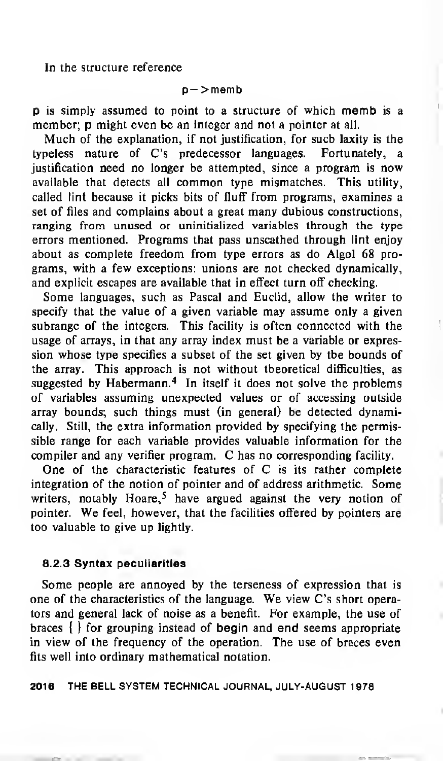In the structure reference

#### p— >memb

<sup>p</sup> is simply assumed to point to <sup>a</sup> structure of which memb is <sup>a</sup> member; p might even be an integer and not <sup>a</sup> pointer at all.

Much of the explanation, if not justification, for such laxity is the typeless nature of C's predecessor languages. Fortunately, a justification need no longer be attempted, since <sup>a</sup> program is now available that detects all common type mismatches. This utility, called lint because it picks bits of fluff from programs, examines a set of files and complains about a great many dubious constructions, ranging from unused or uninitialized variables through the type errors mentioned. Programs that pass unscathed through lint enjoy about as complete freedom from type errors as do Algol 68 programs, with a few exceptions: unions are not checked dynamically, and explicit escapes are available that in effect turn off checking.

Some languages, such as Pascal and Euclid, allow the writer to specify that the value of <sup>a</sup> given variable may assume only a given subrange of the integers. This facility is often connected with the usage of arrays, in that any array index must be a variable or expression whose type specifies a subset of the set given by the bounds of the array. This approach is not without theoretical difficulties, as suggested by Habermann.<sup>4</sup> In itself it does not solve the problems of variables assuming unexpected values or of accessing outside array bounds; such things must (in general) be detected dynamically. Still, the extra information provided by specifying the permissible range for each variable provides valuable information for the compiler and any verifier program. C has no corresponding facility.

One of the characteristic features of C is its rather complete integration of the notion of pointer and of address arithmetic. Some writers, notably Hoare,<sup>5</sup> have argued against the very notion of pointer. We feel, however, that the facilities offered by pointers are too valuable to give up lightly.

### 8.2.3 Syntax peculiarities

Some people are annoyed by the terseness of expression that is one of the characteristics of the language. We view C's short operators and general lack of noise as a benefit. For example, the use of braces { } for grouping instead of begin and end seems appropriate in view of the frequency of the operation. The use of braces even fits well into ordinary mathematical notation.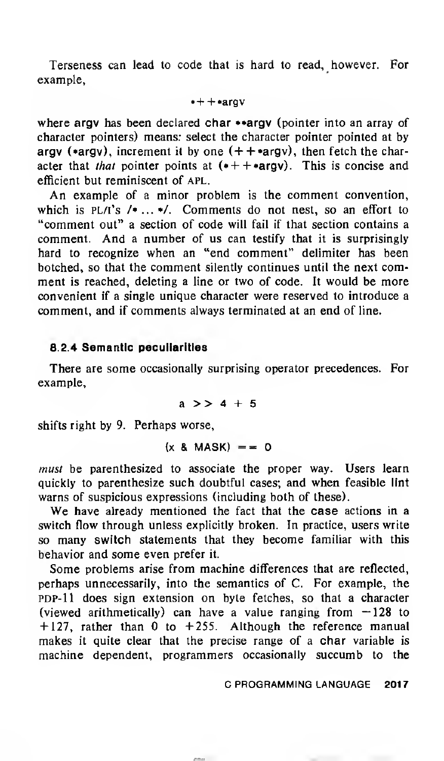Terseness can lead to code that is hard to read, however. For example,

$$
*++*argv
$$

where argy has been declared char \*\*argy (pointer into an array of character pointers) means: select the character pointer pointed at by argy (\*argy), increment it by one  $($  +  $+$  \*argy), then fetch the character that that pointer points at  $(*++*argy)$ . This is concise and efficient but reminiscent of apl.

An example of <sup>a</sup> minor problem is the comment convention, which is  $PL/I$ 's  $/$ \* ...  $*/$ . Comments do not nest, so an effort to "comment out" a section of code will fail if that section contains <sup>a</sup> comment. And <sup>a</sup> number of us can testify that it is surprisingly hard to recognize when an "end comment" delimiter has been botched, so that the comment silently continues until the next comment is reached, deleting <sup>a</sup> line or two of code. It would be more convenient if a single unique character were reserved to introduce a comment, and if comments always terminated at an end of line.

### 8.2.4 Semantic peculiarities

There are some occasionally surprising operator precedences. For example,

$$
a >> 4 + 5
$$

shifts right by 9. Perhaps worse,

$$
(x \& MASK) == 0
$$

must be parenthesized to associate the proper way. Users learn quickly to parenthesize such doubtful cases; and when feasible lint warns of suspicious expressions (including both of these).

We have already mentioned the fact that the case actions in <sup>a</sup> switch flow through unless explicitly broken. In practice, users write so many switch statements that they become familiar with this behavior and some even prefer it.

Some problems arise from machine differences that are reflected, perhaps unnecessarily, into the semantics of C. For example, the PDP-11 does sign extension on byte fetches, so that a character (viewed arithmetically) can have a value ranging from  $-128$  to  $+127$ , rather than 0 to  $+255$ . Although the reference manual makes it quite clear that the precise range of a char variable is machine dependent, programmers occasionally succumb to the

#### C PROGRAMMING LANGUAGE 2017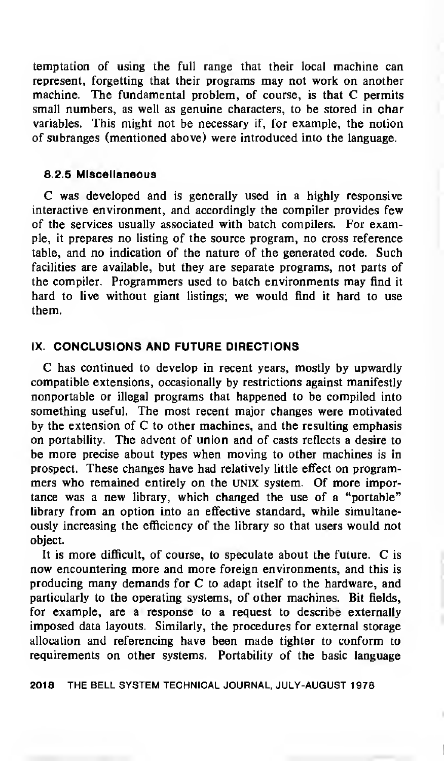temptation of using the full range that their local machine can represent, forgetting that their programs may not work on another machine. The fundamental problem, of course, is that C permits small numbers, as well as genuine characters, to be stored in char variables. This might not be necessary if, for example, the notion of subranges (mentioned above) were introduced into the language.

### 8.2.5 Miscellaneous

C was developed and is generally used in <sup>a</sup> highly responsive interactive environment, and accordingly the compiler provides few of the services usually associated with batch compilers. For example, it prepares no listing of the source program, no cross reference table, and no indication of the nature of the generated code. Such facilities are available, but they are separate programs, not parts of the compiler. Programmers used to batch environments may find it hard to live without giant listings; we would find it hard to use them.

### IX. CONCLUSIONS AND FUTURE DIRECTIONS

C has continued to develop in recent years, mostly by upwardly compatible extensions, occasionally by restrictions against manifestly nonportable or illegal programs that happened to be compiled into something useful. The most recent major changes were motivated by the extension of C to other machines, and the resulting emphasis on portability. The advent of union and of casts reflects a desire to be more precise about types when moving to other machines is in prospect. These changes have had relatively little effect on programmers who remained entirely on the UNIX system. Of more importance was a new library, which changed the use of a "portable" library from an option into an effective standard, while simultaneously increasing the efficiency of the library so that users would not object.

It is more difficult, of course, to speculate about the future. C is now encountering more and more foreign environments, and this is producing many demands for C to adapt itself to the hardware, and particularly to the operating systems, of other machines. Bit fields, for example, are a response to a request to describe externally imposed data layouts. Similarly, the procedures for external storage allocation and referencing have been made tighter to conform to requirements on other systems. Portability of the basic language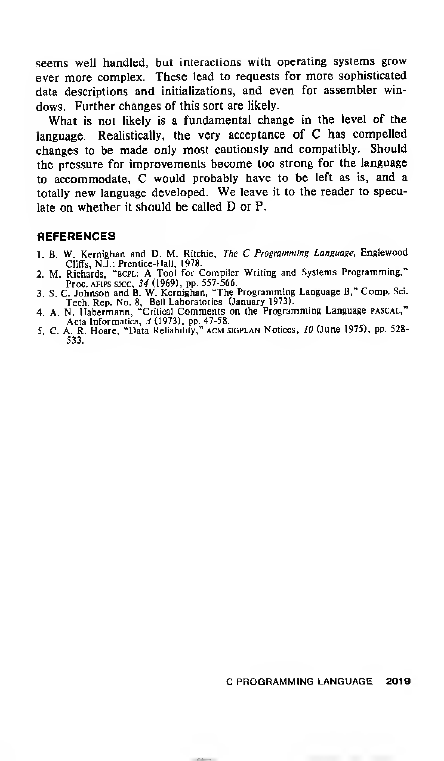seems well handled, but interactions with operating systems grow ever more complex. These lead to requests for more sophisticated data descriptions and initializations, and even for assembler windows. Further changes of this sort are likely.

What is not likely is a fundamental change in the level of the language. Realistically, the very acceptance of C has compelled changes to be made only most cautiously and compatibly. Should the pressure for improvements become too strong for the language to accommodate, C would probably have to be left as is, and <sup>a</sup> totally new language developed. We leave it to the reader to speculate on whether it should be called D or P.

### REFERENCES

- 1. B. W. Kernighan and D. M. Ritchie, The C Programming Language, Englewood
- Cliffs, N.J.: Prentice-Hall, 1978.<br>
2. M. Richards, "BCPL: A Tool for Compiler Writing and Systems Programming,"<br>
Proc. AFIPS SICC, 34 (1969), pp. 557-566.<br>
3. S. C. Johnson and B. W. Kernighan, "The Programming Language
- 
- 
- 533.